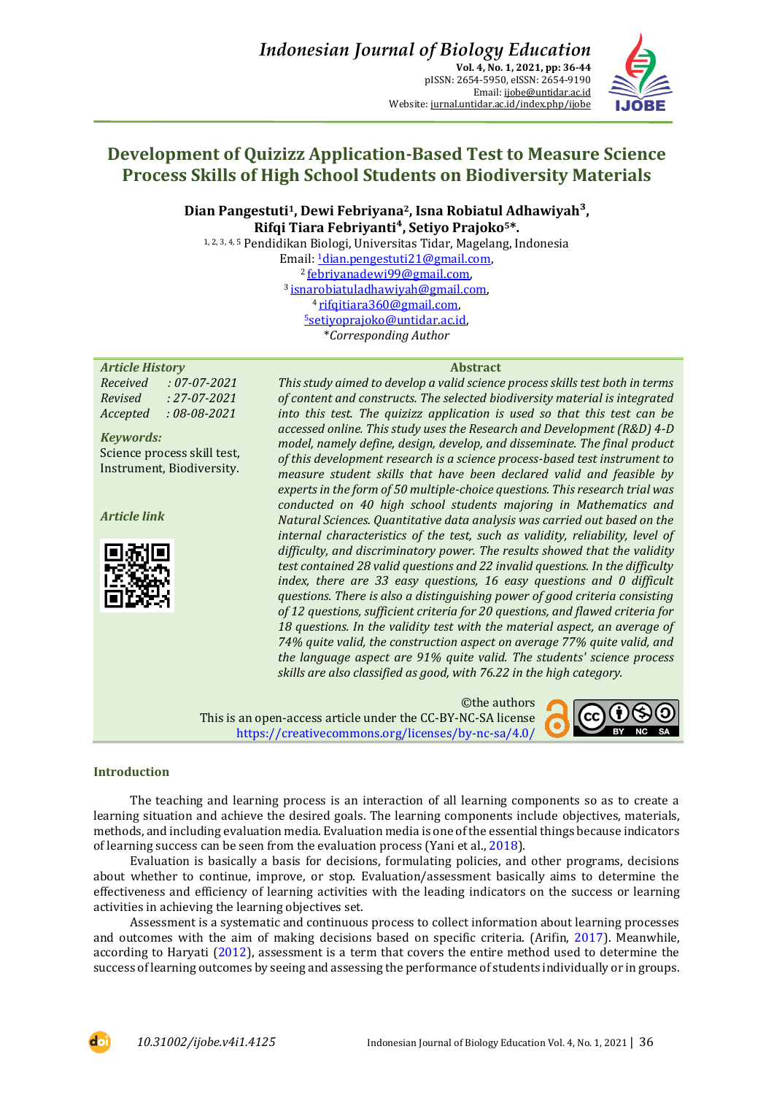

# **Development of Quizizz Application-Based Test to Measure Science Process Skills of High School Students on Biodiversity Materials**

**Dian Pangestuti1, Dewi Febriyana2, Isna Robiatul Adhawiyah³, Rifqi Tiara Febriyanti⁴, Setiyo Prajoko5\*.**

1, 2, 3, 4, 5 Pendidikan Biologi, Universitas Tidar, Magelang, Indonesia Email: 1[dian.pengestuti21@gmail.com,](mailto:1dian.pengestuti21@gmail.com) <sup>2</sup>[febriyanadewi99@gmail.com,](mailto:febriyanadewi99@gmail.com)  <sup>3</sup>[isnarobiatuladhawiyah@gmail.com,](mailto:isnarobiatuladhawiyah@gmail.com)  4 rifqitiara360@gmail.com, <sup>5</sup>[setiyoprajoko@untidar.ac.id,](mailto:5setiyoprajoko@untidar.ac.id) \**Corresponding Author* 

## *Article History* **Abstract**

*Received : 07-07-2021 Revised : 27-07-2021 Accepted : 08-08-2021*

*Keywords:* Science process skill test, Instrument, Biodiversity.

*Article link*



*This study aimed to develop a valid science process skills test both in terms of content and constructs. The selected biodiversity material is integrated into this test. The quizizz application is used so that this test can be accessed online. This study uses the Research and Development (R&D) 4-D model, namely define, design, develop, and disseminate. The final product of this development research is a science process-based test instrument to measure student skills that have been declared valid and feasible by experts in the form of 50 multiple-choice questions. This research trial was conducted on 40 high school students majoring in Mathematics and Natural Sciences. Quantitative data analysis was carried out based on the internal characteristics of the test, such as validity, reliability, level of difficulty, and discriminatory power. The results showed that the validity test contained 28 valid questions and 22 invalid questions. In the difficulty index, there are 33 easy questions, 16 easy questions and 0 difficult questions. There is also a distinguishing power of good criteria consisting of 12 questions, sufficient criteria for 20 questions, and flawed criteria for 18 questions. In the validity test with the material aspect, an average of 74% quite valid, the construction aspect on average 77% quite valid, and the language aspect are 91% quite valid. The students' science process skills are also classified as good, with 76.22 in the high category.*

©the authors This is an open-access article under the CC-BY-NC-SA license <https://creativecommons.org/licenses/by-nc-sa/4.0/>



## **Introduction**

The teaching and learning process is an interaction of all learning components so as to create a learning situation and achieve the desired goals. The learning components include objectives, materials, methods, and including evaluation media. Evaluation media is one of the essential things because indicators of learning success can be seen from the evaluation process (Yani et al.[, 2018\)](#page-8-0).

Evaluation is basically a basis for decisions, formulating policies, and other programs, decisions about whether to continue, improve, or stop. Evaluation/assessment basically aims to determine the effectiveness and efficiency of learning activities with the leading indicators on the success or learning activities in achieving the learning objectives set.

Assessment is a systematic and continuous process to collect information about learning processes and outcomes with the aim of making decisions based on specific criteria. (Arifin, [2017\)](#page-7-0). Meanwhile, according to Haryati [\(2012\)](#page-7-1), assessment is a term that covers the entire method used to determine the success of learning outcomes by seeing and assessing the performance of students individually or in groups.

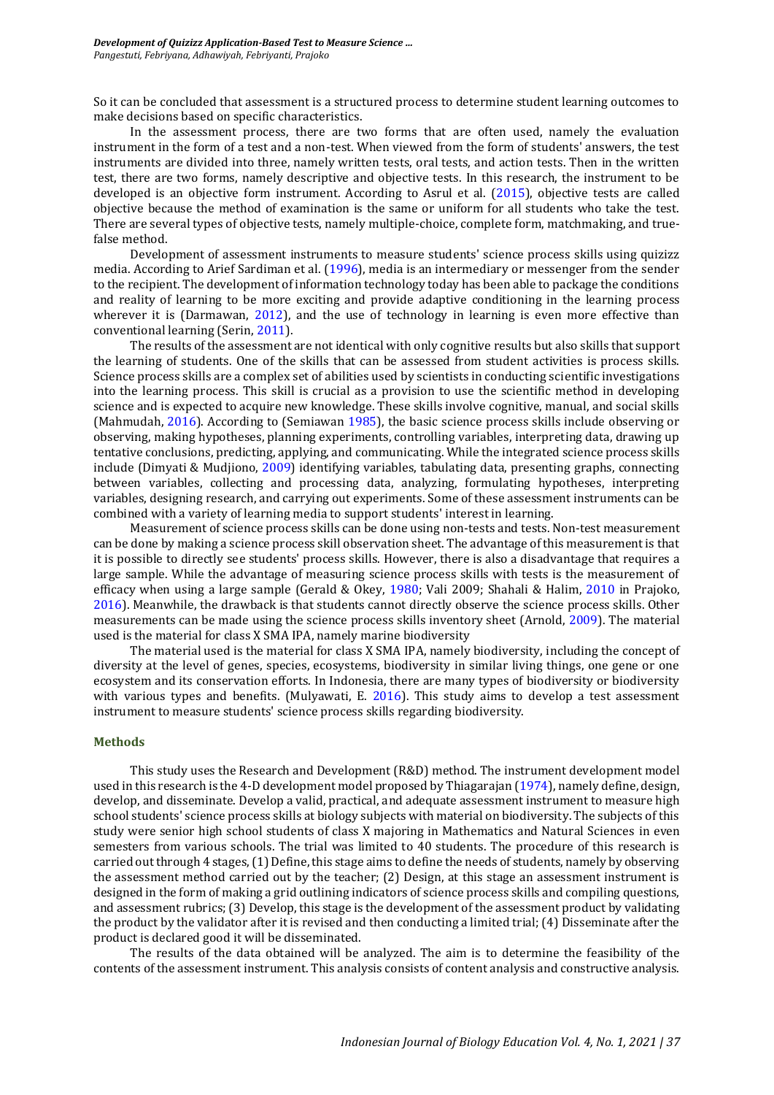So it can be concluded that assessment is a structured process to determine student learning outcomes to make decisions based on specific characteristics.

In the assessment process, there are two forms that are often used, namely the evaluation instrument in the form of a test and a non-test. When viewed from the form of students' answers, the test instruments are divided into three, namely written tests, oral tests, and action tests. Then in the written test, there are two forms, namely descriptive and objective tests. In this research, the instrument to be developed is an objective form instrument. According to Asrul et al. [\(2015\)](#page-7-2), objective tests are called objective because the method of examination is the same or uniform for all students who take the test. There are several types of objective tests, namely multiple-choice, complete form, matchmaking, and truefalse method.

Development of assessment instruments to measure students' science process skills using quizizz media. According to Arief Sardiman et al. [\(1996\)](#page-8-1), media is an intermediary or messenger from the sender to the recipient. The development of information technology today has been able to package the conditions and reality of learning to be more exciting and provide adaptive conditioning in the learning process wherever it is (Darmawan, [2012\)](#page-7-3), and the use of technology in learning is even more effective than conventional learning (Serin, [2011\)](#page-8-2).

The results of the assessment are not identical with only cognitive results but also skills that support the learning of students. One of the skills that can be assessed from student activities is process skills. Science process skills are a complex set of abilities used by scientists in conducting scientific investigations into the learning process. This skill is crucial as a provision to use the scientific method in developing science and is expected to acquire new knowledge. These skills involve cognitive, manual, and social skills (Mahmudah, [2016\)](#page-7-4). According to (Semiawan [1985\)](#page-8-3), the basic science process skills include observing or observing, making hypotheses, planning experiments, controlling variables, interpreting data, drawing up tentative conclusions, predicting, applying, and communicating. While the integrated science process skills include (Dimyati & Mudjiono, [2009\)](#page-7-5) identifying variables, tabulating data, presenting graphs, connecting between variables, collecting and processing data, analyzing, formulating hypotheses, interpreting variables, designing research, and carrying out experiments. Some of these assessment instruments can be combined with a variety of learning media to support students' interest in learning.

Measurement of science process skills can be done using non-tests and tests. Non-test measurement can be done by making a science process skill observation sheet. The advantage of this measurement is that it is possible to directly see students' process skills. However, there is also a disadvantage that requires a large sample. While the advantage of measuring science process skills with tests is the measurement of efficacy when using a large sample (Gerald & Okey, [1980;](#page-7-6) Vali 2009; Shahali & Halim, [2010](#page-8-4) in Prajoko, [2016\)](#page-8-5). Meanwhile, the drawback is that students cannot directly observe the science process skills. Other measurements can be made using the science process skills inventory sheet (Arnold, [2009\)](#page-7-7). The material used is the material for class X SMA IPA, namely marine biodiversity

The material used is the material for class X SMA IPA, namely biodiversity, including the concept of diversity at the level of genes, species, ecosystems, biodiversity in similar living things, one gene or one ecosystem and its conservation efforts. In Indonesia, there are many types of biodiversity or biodiversity with various types and benefits. (Mulyawati, E. [2016\)](#page-7-8). This study aims to develop a test assessment instrument to measure students' science process skills regarding biodiversity.

## **Methods**

This study uses the Research and Development (R&D) method. The instrument development model used in this research is the 4-D development model proposed by Thiagarajan [\(1974\)](#page-8-6), namely define, design, develop, and disseminate. Develop a valid, practical, and adequate assessment instrument to measure high school students' science process skills at biology subjects with material on biodiversity. The subjects of this study were senior high school students of class X majoring in Mathematics and Natural Sciences in even semesters from various schools. The trial was limited to 40 students. The procedure of this research is carried out through 4 stages, (1) Define, this stage aims to define the needs of students, namely by observing the assessment method carried out by the teacher; (2) Design, at this stage an assessment instrument is designed in the form of making a grid outlining indicators of science process skills and compiling questions, and assessment rubrics; (3) Develop, this stage is the development of the assessment product by validating the product by the validator after it is revised and then conducting a limited trial; (4) Disseminate after the product is declared good it will be disseminated.

The results of the data obtained will be analyzed. The aim is to determine the feasibility of the contents of the assessment instrument. This analysis consists of content analysis and constructive analysis.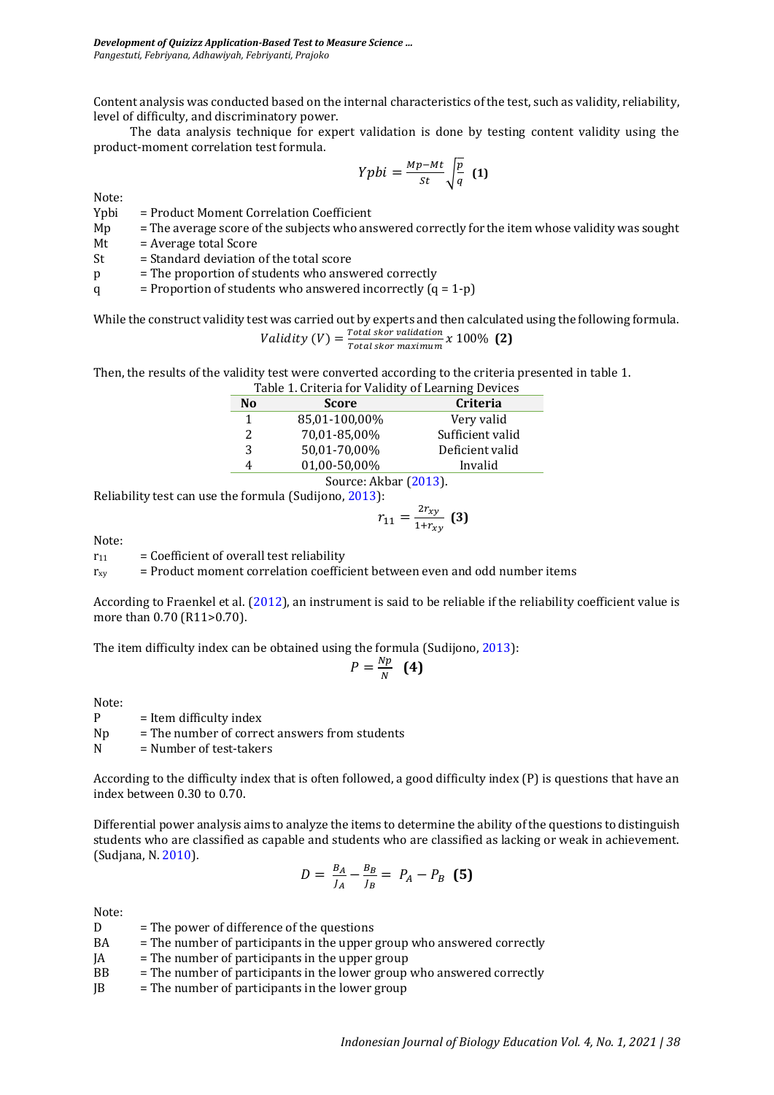Content analysis was conducted based on the internal characteristics of the test, such as validity, reliability, level of difficulty, and discriminatory power.

The data analysis technique for expert validation is done by testing content validity using the product-moment correlation test formula.

$$
Yphi = \frac{Mp - Mt}{st} \sqrt{\frac{p}{q}} \tag{1}
$$

Note:<br>Ypbi = Product Moment Correlation Coefficient

Mp = The average score of the subjects who answered correctly for the item whose validity was sought

 $Mt = Average total Score$ 

 $St = Standard deviation of the total score$ 

p = The proportion of students who answered correctly

q  $=$  Proportion of students who answered incorrectly  $(q = 1-p)$ 

While the construct validity test was carried out by experts and then calculated using the following formula. Validity  $(V) = \frac{Total \, skor \, validation}{Total \, skor \, maximum}$  $\frac{10000 \text{ rad}}{Total \text{ skor maximum}} x 100\%$  (2)

Then, the results of the validity test were converted according to the criteria presented in table 1.

| Table 1. Criteria for Validity of Learning Devices |               |                  |  |
|----------------------------------------------------|---------------|------------------|--|
| N <sub>0</sub>                                     | <b>Score</b>  | Criteria         |  |
| 1                                                  | 85,01-100,00% | Very valid       |  |
| 2                                                  | 70,01-85,00%  | Sufficient valid |  |
| 3                                                  | 50,01-70,00%  | Deficient valid  |  |
| 4                                                  | 01,00-50,00%  | Invalid          |  |
| Source: Akbar (2013).                              |               |                  |  |

Reliability test can use the formula (Sudijono, [2013\)](#page-8-7):

$$
r_{11} = \frac{2r_{xy}}{1 + r_{xy}} \tag{3}
$$

Note:

 $r_{11}$  = Coefficient of overall test reliability

 $r_{xy}$  = Product moment correlation coefficient between even and odd number items

According to Fraenkel et al. [\(2012\)](#page-7-10), an instrument is said to be reliable if the reliability coefficient value is more than 0.70 (R11>0.70).

The item difficulty index can be obtained using the formula (Sudijono, [2013\)](#page-8-7):

$$
P=\frac{Np}{N} \quad \textbf{(4)}
$$

Note:

 $P =$  Item difficulty index  $Np = The number of correct answers from students$ 

 $N = Number of test-takers$ 

According to the difficulty index that is often followed, a good difficulty index (P) is questions that have an index between 0.30 to 0.70.

Differential power analysis aims to analyze the items to determine the ability of the questions to distinguish students who are classified as capable and students who are classified as lacking or weak in achievement. (Sudjana, N. [2010\)](#page-8-8).

$$
D = \frac{B_A}{J_A} - \frac{B_B}{J_B} = P_A - P_B \quad (5)
$$

Note:

- $D =$ The power of difference of the questions
- BA = The number of participants in the upper group who answered correctly
- $JA = The number of participants in the upper group$
- BB = The number of participants in the lower group who answered correctly
- $JB = The number of participants in the lower group$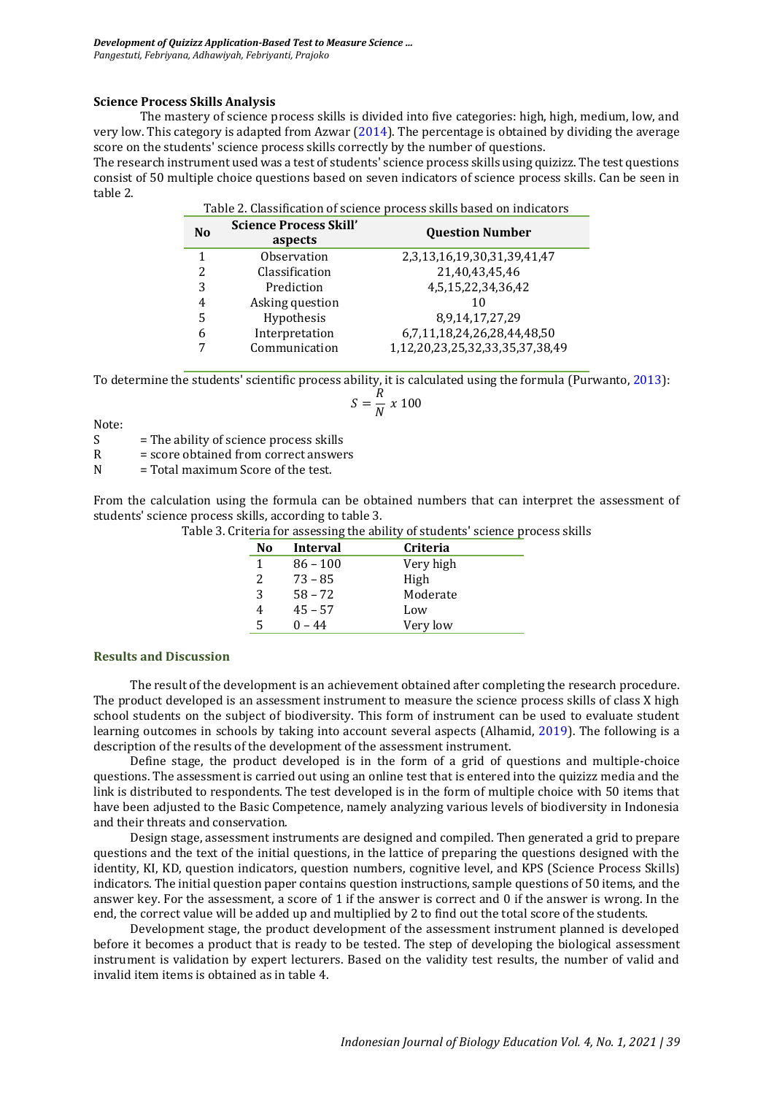## **Science Process Skills Analysis**

The mastery of science process skills is divided into five categories: high, high, medium, low, and very low. This category is adapted from Azwar [\(2014\)](#page-7-11). The percentage is obtained by dividing the average score on the students' science process skills correctly by the number of questions.

The research instrument used was a test of students' science process skills using quizizz. The test questions consist of 50 multiple choice questions based on seven indicators of science process skills. Can be seen in table 2.

Table 2. Classification of science process skills based on indicators

| N <sub>0</sub>           | <b>Science Process Skill'</b><br>aspects | <b>Question Number</b>          |
|--------------------------|------------------------------------------|---------------------------------|
| 1                        | Observation                              | 2,3,13,16,19,30,31,39,41,47     |
| $\overline{\mathcal{L}}$ | Classification                           | 21,40,43,45,46                  |
| 3                        | Prediction                               | 4,5,15,22,34,36,42              |
| 4                        | Asking question                          | 10                              |
| 5                        | Hypothesis                               | 8,9,14,17,27,29                 |
| 6                        | Interpretation                           | 6,7,11,18,24,26,28,44,48,50     |
|                          | Communication                            | 1,12,20,23,25,32,33,35,37,38,49 |

To determine the students' scientific process ability, it is calculated using the formula (Purwanto[, 2013\)](#page-8-9):

$$
S=\frac{R}{N}\;x\;100
$$

Note:

S = The ability of science process skills

R = score obtained from correct answers

 $N = Total maximum Score of the test.$ 

From the calculation using the formula can be obtained numbers that can interpret the assessment of students' science process skills, according to table 3.

Table 3. Criteria for assessing the ability of students' science process skills

| No             | Interval   | <b>Criteria</b> |
|----------------|------------|-----------------|
|                | $86 - 100$ | Very high       |
| $\overline{2}$ | $73 - 85$  | High            |
| 3              | $58 - 72$  | Moderate        |
| 4              | $45 - 57$  | Low             |
| 5              | $0 - 44$   | Very low        |

### **Results and Discussion**

The result of the development is an achievement obtained after completing the research procedure. The product developed is an assessment instrument to measure the science process skills of class X high school students on the subject of biodiversity. This form of instrument can be used to evaluate student learning outcomes in schools by taking into account several aspects (Alhamid, [2019\)](#page-7-12). The following is a description of the results of the development of the assessment instrument.

Define stage, the product developed is in the form of a grid of questions and multiple-choice questions. The assessment is carried out using an online test that is entered into the quizizz media and the link is distributed to respondents. The test developed is in the form of multiple choice with 50 items that have been adjusted to the Basic Competence, namely analyzing various levels of biodiversity in Indonesia and their threats and conservation.

Design stage, assessment instruments are designed and compiled. Then generated a grid to prepare questions and the text of the initial questions, in the lattice of preparing the questions designed with the identity, KI, KD, question indicators, question numbers, cognitive level, and KPS (Science Process Skills) indicators. The initial question paper contains question instructions, sample questions of 50 items, and the answer key. For the assessment, a score of 1 if the answer is correct and 0 if the answer is wrong. In the end, the correct value will be added up and multiplied by 2 to find out the total score of the students.

Development stage, the product development of the assessment instrument planned is developed before it becomes a product that is ready to be tested. The step of developing the biological assessment instrument is validation by expert lecturers. Based on the validity test results, the number of valid and invalid item items is obtained as in table 4.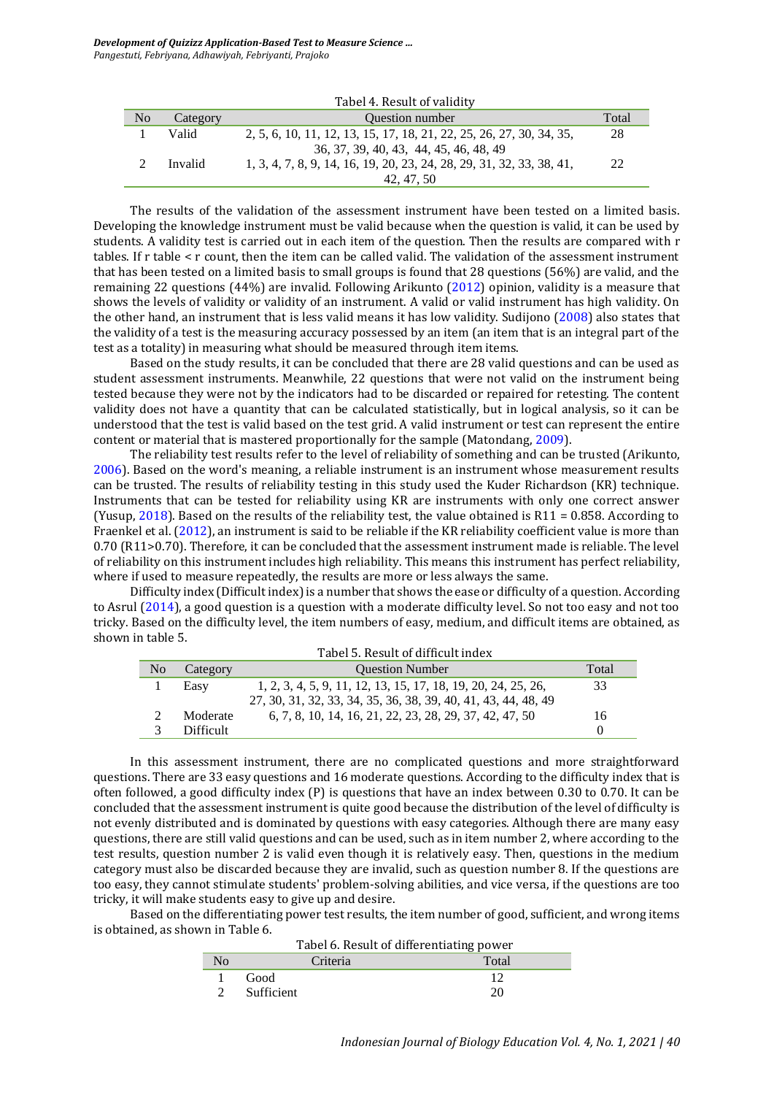*Development of Quizizz Application-Based Test to Measure Science … Pangestuti, Febriyana, Adhawiyah, Febriyanti, Prajoko*

|                |          | Tabel 4. Result of validity                                           |       |
|----------------|----------|-----------------------------------------------------------------------|-------|
| N <sub>o</sub> | Category | <b>Ouestion number</b>                                                | Total |
|                | Valid    | 2, 5, 6, 10, 11, 12, 13, 15, 17, 18, 21, 22, 25, 26, 27, 30, 34, 35,  | 28    |
|                |          | 36, 37, 39, 40, 43, 44, 45, 46, 48, 49                                |       |
|                | Invalid  | 1, 3, 4, 7, 8, 9, 14, 16, 19, 20, 23, 24, 28, 29, 31, 32, 33, 38, 41, | 22    |
|                |          | 42, 47, 50                                                            |       |

The results of the validation of the assessment instrument have been tested on a limited basis. Developing the knowledge instrument must be valid because when the question is valid, it can be used by students. A validity test is carried out in each item of the question. Then the results are compared with r tables. If r table < r count, then the item can be called valid. The validation of the assessment instrument that has been tested on a limited basis to small groups is found that 28 questions (56%) are valid, and the remaining 22 questions (44%) are invalid. Following Arikunto [\(2012\)](#page-7-13) opinion, validity is a measure that shows the levels of validity or validity of an instrument. A valid or valid instrument has high validity. On the other hand, an instrument that is less valid means it has low validity. Sudijono [\(2008\)](#page-8-10) also states that the validity of a test is the measuring accuracy possessed by an item (an item that is an integral part of the test as a totality) in measuring what should be measured through item items.

Based on the study results, it can be concluded that there are 28 valid questions and can be used as student assessment instruments. Meanwhile, 22 questions that were not valid on the instrument being tested because they were not by the indicators had to be discarded or repaired for retesting. The content validity does not have a quantity that can be calculated statistically, but in logical analysis, so it can be understood that the test is valid based on the test grid. A valid instrument or test can represent the entire content or material that is mastered proportionally for the sample (Matondang, [2009\)](#page-7-14).

The reliability test results refer to the level of reliability of something and can be trusted (Arikunto, [2006\)](#page-7-15). Based on the word's meaning, a reliable instrument is an instrument whose measurement results can be trusted. The results of reliability testing in this study used the Kuder Richardson (KR) technique. Instruments that can be tested for reliability using KR are instruments with only one correct answer (Yusup, [2018\)](#page-8-11). Based on the results of the reliability test, the value obtained is  $R11 = 0.858$ . According to Fraenkel et al. [\(2012\)](#page-7-10), an instrument is said to be reliable if the KR reliability coefficient value is more than 0.70 (R11>0.70). Therefore, it can be concluded that the assessment instrument made is reliable. The level of reliability on this instrument includes high reliability. This means this instrument has perfect reliability, where if used to measure repeatedly, the results are more or less always the same.

Difficulty index (Difficult index) is a number that shows the ease or difficulty of a question. According to Asrul [\(2014\)](#page-7-2), a good question is a question with a moderate difficulty level. So not too easy and not too tricky. Based on the difficulty level, the item numbers of easy, medium, and difficult items are obtained, as shown in table 5.  $\Phi$  of difficult of difficult

| N <sub>0</sub> | Tabel 5. Result of difficult index<br><b>Ouestion Number</b><br>Total<br>Category |                                                                                                                                 |    |
|----------------|-----------------------------------------------------------------------------------|---------------------------------------------------------------------------------------------------------------------------------|----|
|                | Easy                                                                              | 1, 2, 3, 4, 5, 9, 11, 12, 13, 15, 17, 18, 19, 20, 24, 25, 26,<br>27, 30, 31, 32, 33, 34, 35, 36, 38, 39, 40, 41, 43, 44, 48, 49 | 33 |
|                | Moderate                                                                          | 6, 7, 8, 10, 14, 16, 21, 22, 23, 28, 29, 37, 42, 47, 50                                                                         | 16 |
|                | <b>Difficult</b>                                                                  |                                                                                                                                 |    |

In this assessment instrument, there are no complicated questions and more straightforward questions. There are 33 easy questions and 16 moderate questions. According to the difficulty index that is often followed, a good difficulty index (P) is questions that have an index between 0.30 to 0.70. It can be concluded that the assessment instrument is quite good because the distribution of the level of difficulty is not evenly distributed and is dominated by questions with easy categories. Although there are many easy questions, there are still valid questions and can be used, such as in item number 2, where according to the test results, question number 2 is valid even though it is relatively easy. Then, questions in the medium category must also be discarded because they are invalid, such as question number 8. If the questions are too easy, they cannot stimulate students' problem-solving abilities, and vice versa, if the questions are too tricky, it will make students easy to give up and desire.

Based on the differentiating power test results, the item number of good, sufficient, and wrong items is obtained, as shown in Table 6. Tabel 6. Result of differentiating power

| Tabel 6. Result of differentiating power |            |       |  |
|------------------------------------------|------------|-------|--|
| No                                       | Criteria   | Total |  |
|                                          | Good       |       |  |
|                                          | Sufficient | 20    |  |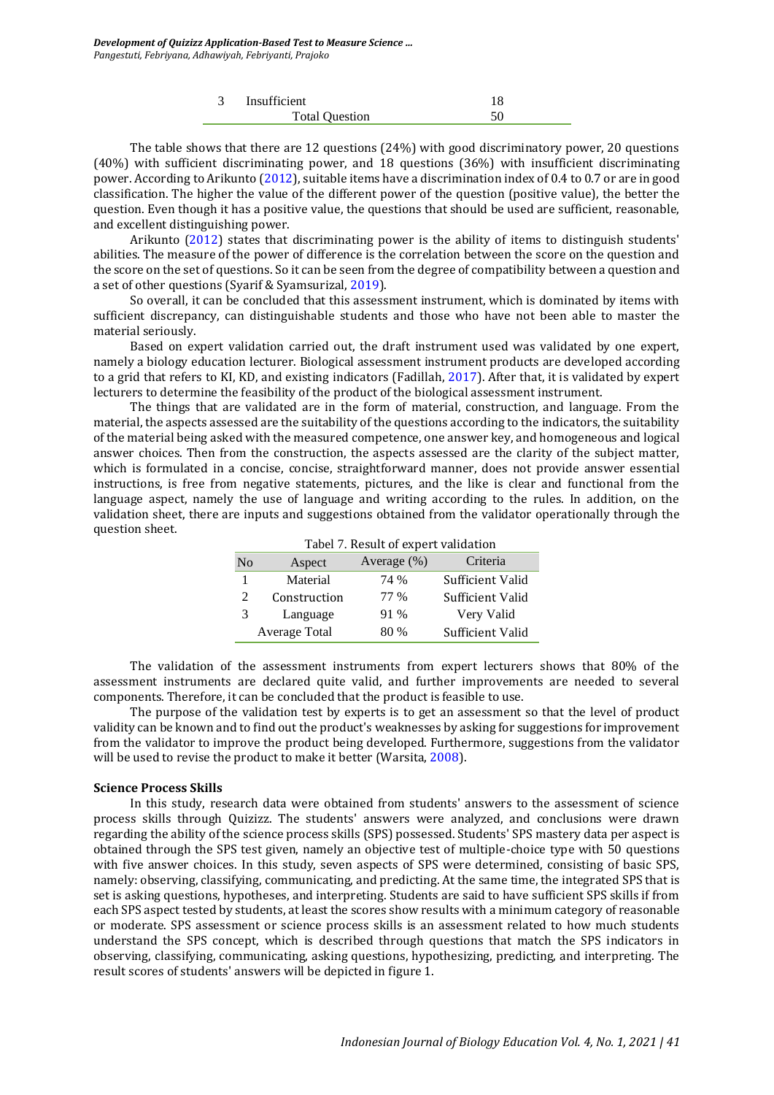| 3 | Insufficient          |  |
|---|-----------------------|--|
|   | <b>Total Question</b> |  |

The table shows that there are 12 questions (24%) with good discriminatory power, 20 questions (40%) with sufficient discriminating power, and 18 questions (36%) with insufficient discriminating power. According to Arikunto [\(2012\)](#page-7-13), suitable items have a discrimination index of 0.4 to 0.7 or are in good classification. The higher the value of the different power of the question (positive value), the better the question. Even though it has a positive value, the questions that should be used are sufficient, reasonable, and excellent distinguishing power.

Arikunto [\(2012\)](#page-7-13) states that discriminating power is the ability of items to distinguish students' abilities. The measure of the power of difference is the correlation between the score on the question and the score on the set of questions. So it can be seen from the degree of compatibility between a question and a set of other questions (Syarif & Syamsurizal, [2019\)](#page-8-12).

So overall, it can be concluded that this assessment instrument, which is dominated by items with sufficient discrepancy, can distinguishable students and those who have not been able to master the material seriously.

Based on expert validation carried out, the draft instrument used was validated by one expert, namely a biology education lecturer. Biological assessment instrument products are developed according to a grid that refers to KI, KD, and existing indicators (Fadillah, [2017\)](#page-7-16). After that, it is validated by expert lecturers to determine the feasibility of the product of the biological assessment instrument.

The things that are validated are in the form of material, construction, and language. From the material, the aspects assessed are the suitability of the questions according to the indicators, the suitability of the material being asked with the measured competence, one answer key, and homogeneous and logical answer choices. Then from the construction, the aspects assessed are the clarity of the subject matter, which is formulated in a concise, concise, straightforward manner, does not provide answer essential instructions, is free from negative statements, pictures, and the like is clear and functional from the language aspect, namely the use of language and writing according to the rules. In addition, on the validation sheet, there are inputs and suggestions obtained from the validator operationally through the question sheet.

|                | Tabel 7. Result of expert validation |                |                  |  |
|----------------|--------------------------------------|----------------|------------------|--|
| No             | Aspect                               | Average $(\%)$ | Criteria         |  |
|                | Material                             | 74 %           | Sufficient Valid |  |
| $\mathfrak{D}$ | Construction                         | 77 %           | Sufficient Valid |  |
| 3              | Language                             | 91 %           | Very Valid       |  |
|                | Average Total                        | 80 %           | Sufficient Valid |  |

The validation of the assessment instruments from expert lecturers shows that 80% of the assessment instruments are declared quite valid, and further improvements are needed to several components. Therefore, it can be concluded that the product is feasible to use.

The purpose of the validation test by experts is to get an assessment so that the level of product validity can be known and to find out the product's weaknesses by asking for suggestions for improvement from the validator to improve the product being developed. Furthermore, suggestions from the validator will be used to revise the product to make it better (Warsita, [2008\)](#page-8-13).

### **Science Process Skills**

In this study, research data were obtained from students' answers to the assessment of science process skills through Quizizz. The students' answers were analyzed, and conclusions were drawn regarding the ability of the science process skills (SPS) possessed. Students' SPS mastery data per aspect is obtained through the SPS test given, namely an objective test of multiple-choice type with 50 questions with five answer choices. In this study, seven aspects of SPS were determined, consisting of basic SPS, namely: observing, classifying, communicating, and predicting. At the same time, the integrated SPS that is set is asking questions, hypotheses, and interpreting. Students are said to have sufficient SPS skills if from each SPS aspect tested by students, at least the scores show results with a minimum category of reasonable or moderate. SPS assessment or science process skills is an assessment related to how much students understand the SPS concept, which is described through questions that match the SPS indicators in observing, classifying, communicating, asking questions, hypothesizing, predicting, and interpreting. The result scores of students' answers will be depicted in figure 1.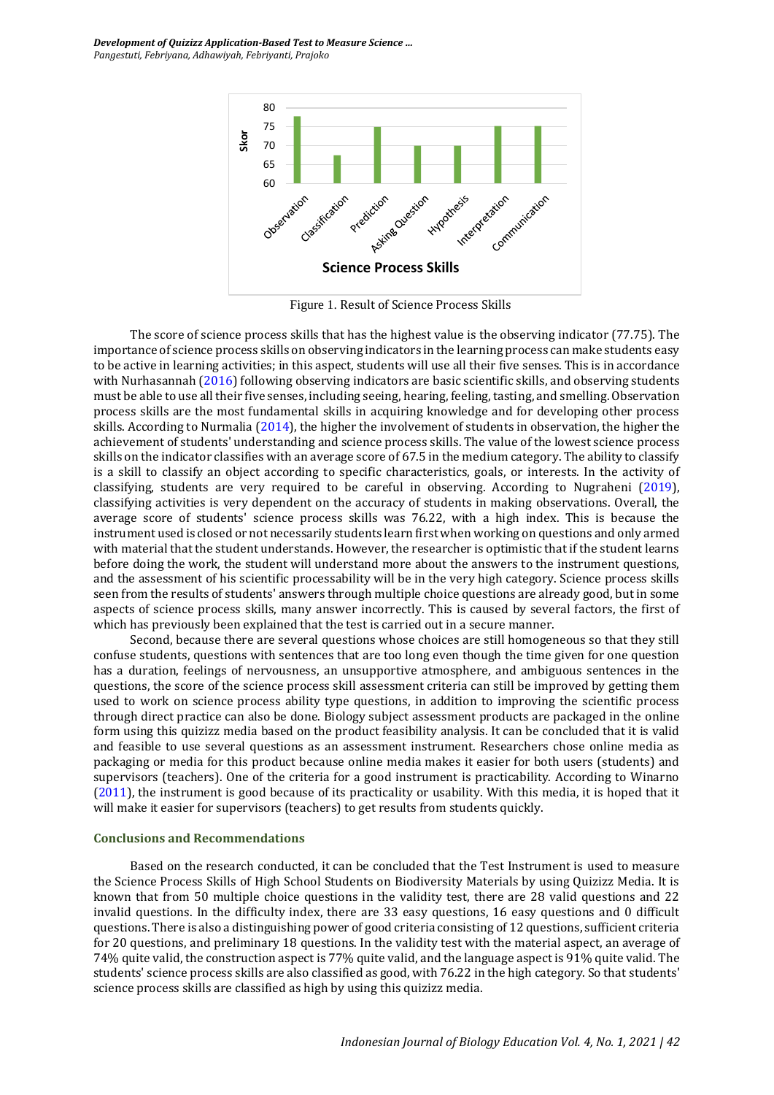

Figure 1. Result of Science Process Skills

The score of science process skills that has the highest value is the observing indicator (77.75). The importance of science process skills on observing indicators in the learning process can make students easy to be active in learning activities; in this aspect, students will use all their five senses. This is in accordance with Nurhasannah [\(2016\)](#page-7-17) following observing indicators are basic scientific skills, and observing students must be able to use all their five senses, including seeing, hearing, feeling, tasting, and smelling. Observation process skills are the most fundamental skills in acquiring knowledge and for developing other process skills. According to Nurmalia [\(2014\)](#page-7-18), the higher the involvement of students in observation, the higher the achievement of students' understanding and science process skills. The value of the lowest science process skills on the indicator classifies with an average score of 67.5 in the medium category. The ability to classify is a skill to classify an object according to specific characteristics, goals, or interests. In the activity of classifying, students are very required to be careful in observing. According to Nugraheni [\(2019\)](#page-7-19), classifying activities is very dependent on the accuracy of students in making observations. Overall, the average score of students' science process skills was 76.22, with a high index. This is because the instrument used is closed or not necessarily students learn first when working on questions and only armed with material that the student understands. However, the researcher is optimistic that if the student learns before doing the work, the student will understand more about the answers to the instrument questions, and the assessment of his scientific processability will be in the very high category. Science process skills seen from the results of students' answers through multiple choice questions are already good, but in some aspects of science process skills, many answer incorrectly. This is caused by several factors, the first of which has previously been explained that the test is carried out in a secure manner.

Second, because there are several questions whose choices are still homogeneous so that they still confuse students, questions with sentences that are too long even though the time given for one question has a duration, feelings of nervousness, an unsupportive atmosphere, and ambiguous sentences in the questions, the score of the science process skill assessment criteria can still be improved by getting them used to work on science process ability type questions, in addition to improving the scientific process through direct practice can also be done. Biology subject assessment products are packaged in the online form using this quizizz media based on the product feasibility analysis. It can be concluded that it is valid and feasible to use several questions as an assessment instrument. Researchers chose online media as packaging or media for this product because online media makes it easier for both users (students) and supervisors (teachers). One of the criteria for a good instrument is practicability. According to Winarno [\(2011\)](#page-8-14), the instrument is good because of its practicality or usability. With this media, it is hoped that it will make it easier for supervisors (teachers) to get results from students quickly.

#### **Conclusions and Recommendations**

Based on the research conducted, it can be concluded that the Test Instrument is used to measure the Science Process Skills of High School Students on Biodiversity Materials by using Quizizz Media. It is known that from 50 multiple choice questions in the validity test, there are 28 valid questions and 22 invalid questions. In the difficulty index, there are 33 easy questions, 16 easy questions and 0 difficult questions. There is also a distinguishing power of good criteria consisting of 12 questions, sufficient criteria for 20 questions, and preliminary 18 questions. In the validity test with the material aspect, an average of 74% quite valid, the construction aspect is 77% quite valid, and the language aspect is 91% quite valid. The students' science process skills are also classified as good, with 76.22 in the high category. So that students' science process skills are classified as high by using this quizizz media.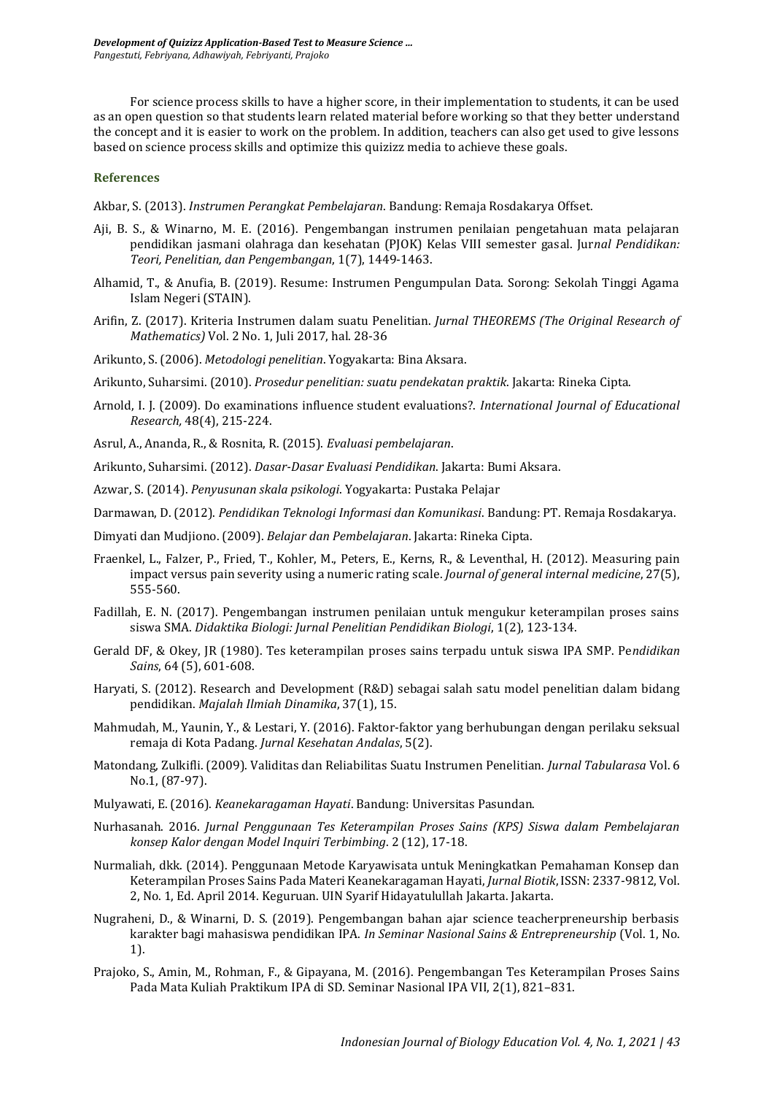For science process skills to have a higher score, in their implementation to students, it can be used as an open question so that students learn related material before working so that they better understand the concept and it is easier to work on the problem. In addition, teachers can also get used to give lessons based on science process skills and optimize this quizizz media to achieve these goals.

## **References**

<span id="page-7-9"></span>Akbar, S. (2013). *Instrumen Perangkat Pembelajaran*. Bandung: Remaja Rosdakarya Offset.

- Aji, B. S., & Winarno, M. E. (2016). Pengembangan instrumen penilaian pengetahuan mata pelajaran pendidikan jasmani olahraga dan kesehatan (PJOK) Kelas VIII semester gasal. Jur*nal Pendidikan: Teori, Penelitian, dan Pengembangan*, 1(7), 1449-1463.
- <span id="page-7-12"></span>Alhamid, T., & Anufia, B. (2019). Resume: Instrumen Pengumpulan Data. Sorong: Sekolah Tinggi Agama Islam Negeri (STAIN).
- <span id="page-7-0"></span>Arifin, Z. (2017). Kriteria Instrumen dalam suatu Penelitian. *Jurnal THEOREMS (The Original Research of Mathematics)* Vol. 2 No. 1, Juli 2017, hal. 28-36
- <span id="page-7-15"></span>Arikunto, S. (2006). *Metodologi penelitian*. Yogyakarta: Bina Aksara.
- Arikunto, Suharsimi. (2010). *Prosedur penelitian: suatu pendekatan praktik*. Jakarta: Rineka Cipta.
- <span id="page-7-7"></span>Arnold, I. J. (2009). Do examinations influence student evaluations?. *International Journal of Educational Research,* 48(4), 215-224.
- <span id="page-7-2"></span>Asrul, A., Ananda, R., & Rosnita, R. (2015). *Evaluasi pembelajaran*.
- <span id="page-7-13"></span>Arikunto, Suharsimi. (2012). *Dasar-Dasar Evaluasi Pendidikan*. Jakarta: Bumi Aksara.
- <span id="page-7-11"></span>Azwar, S. (2014). *Penyusunan skala psikologi*. Yogyakarta: Pustaka Pelajar
- <span id="page-7-3"></span>Darmawan, D. (2012). *Pendidikan Teknologi Informasi dan Komunikasi*. Bandung: PT. Remaja Rosdakarya.
- <span id="page-7-5"></span>Dimyati dan Mudjiono. (2009). *Belajar dan Pembelajaran*. Jakarta: Rineka Cipta.
- <span id="page-7-10"></span>Fraenkel, L., Falzer, P., Fried, T., Kohler, M., Peters, E., Kerns, R., & Leventhal, H. (2012). Measuring pain impact versus pain severity using a numeric rating scale. *Journal of general internal medicine*, 27(5), 555-560.
- <span id="page-7-16"></span>Fadillah, E. N. (2017). Pengembangan instrumen penilaian untuk mengukur keterampilan proses sains siswa SMA. *Didaktika Biologi: Jurnal Penelitian Pendidikan Biologi*, 1(2), 123-134.
- <span id="page-7-6"></span>Gerald DF, & Okey, JR (1980). Tes keterampilan proses sains terpadu untuk siswa IPA SMP. Pe*ndidikan Sains*, 64 (5), 601-608.
- <span id="page-7-1"></span>Haryati, S. (2012). Research and Development (R&D) sebagai salah satu model penelitian dalam bidang pendidikan. *Majalah Ilmiah Dinamika*, 37(1), 15.
- <span id="page-7-4"></span>Mahmudah, M., Yaunin, Y., & Lestari, Y. (2016). Faktor-faktor yang berhubungan dengan perilaku seksual remaja di Kota Padang. *Jurnal Kesehatan Andalas*, 5(2).
- <span id="page-7-14"></span>Matondang, Zulkifli. (2009). Validitas dan Reliabilitas Suatu Instrumen Penelitian. *Jurnal Tabularasa* Vol. 6 No.1, (87-97).
- <span id="page-7-8"></span>Mulyawati, E. (2016). *Keanekaragaman Hayati*. Bandung: Universitas Pasundan.
- <span id="page-7-17"></span>Nurhasanah. 2016. *Jurnal Penggunaan Tes Keterampilan Proses Sains (KPS) Siswa dalam Pembelajaran konsep Kalor dengan Model Inquiri Terbimbing*. 2 (12), 17-18.
- <span id="page-7-18"></span>Nurmaliah, dkk. (2014). Penggunaan Metode Karyawisata untuk Meningkatkan Pemahaman Konsep dan Keterampilan Proses Sains Pada Materi Keanekaragaman Hayati, *Jurnal Biotik*, ISSN: 2337-9812, Vol. 2, No. 1, Ed. April 2014. Keguruan. UIN Syarif Hidayatulullah Jakarta. Jakarta.
- <span id="page-7-19"></span>Nugraheni, D., & Winarni, D. S. (2019). Pengembangan bahan ajar science teacherpreneurship berbasis karakter bagi mahasiswa pendidikan IPA. *In Seminar Nasional Sains & Entrepreneurship* (Vol. 1, No. 1).
- Prajoko, S., Amin, M., Rohman, F., & Gipayana, M. (2016). Pengembangan Tes Keterampilan Proses Sains Pada Mata Kuliah Praktikum IPA di SD. Seminar Nasional IPA VII, 2(1), 821–831.